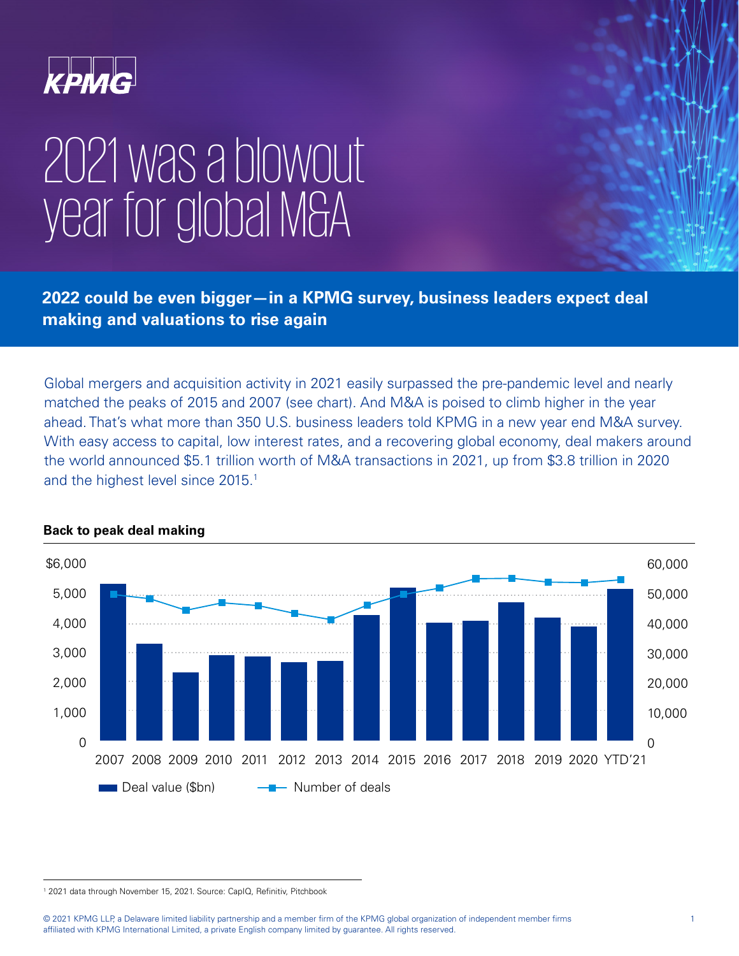

# 2021 was a blowout year for global M&A

**2022 could be even bigger—in a KPMG survey, business leaders expect deal making and valuations to rise again**

Global mergers and acquisition activity in 2021 easily surpassed the pre-pandemic level and nearly matched the peaks of 2015 and 2007 (see chart). And M&A is poised to climb higher in the year ahead. That's what more than 350 U.S. business leaders told KPMG in a new year end M&A survey. With easy access to capital, low interest rates, and a recovering global economy, deal makers around the world announced \$5.1 trillion worth of M&A transactions in 2021, up from \$3.8 trillion in 2020 and the highest level since 2015.<sup>1</sup>



## **Back to peak deal making**

<sup>1</sup> 2021 data through November 15, 2021. Source: CapIQ, Refinitiv, Pitchbook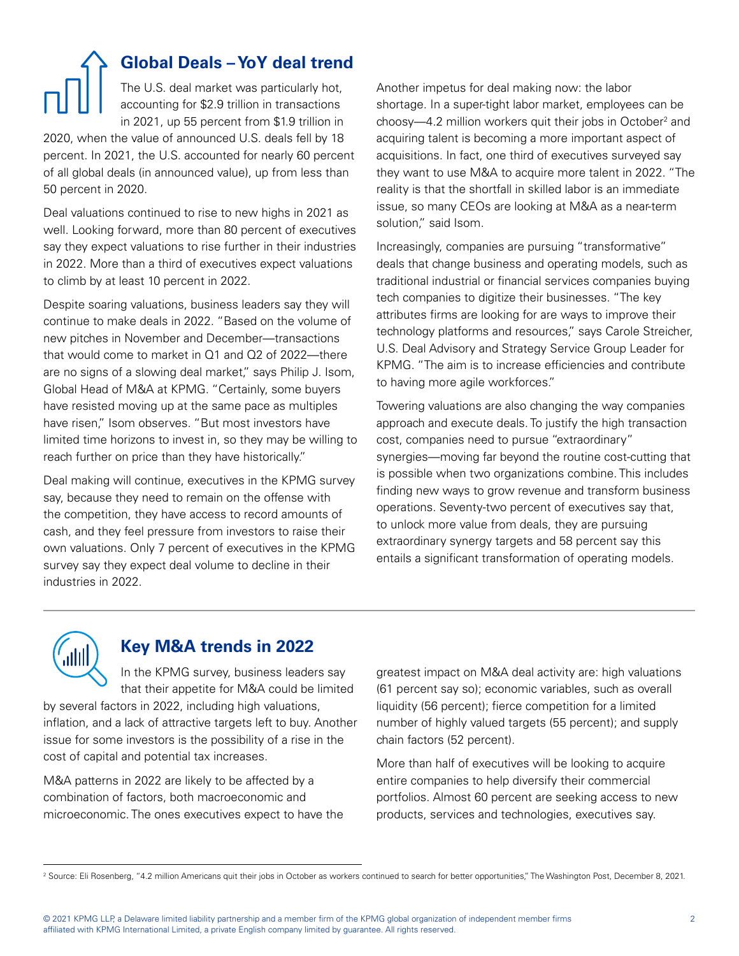# **Global Deals – YoY deal trend** The U.S. deal market was particularly hot, accounting for \$2.9 trillion in transactions in 2021, up 55 percent from \$1.9 trillion in

2020, when the value of announced U.S. deals fell by 18 percent. In 2021, the U.S. accounted for nearly 60 percent of all global deals (in announced value), up from less than 50 percent in 2020.

Deal valuations continued to rise to new highs in 2021 as well. Looking forward, more than 80 percent of executives say they expect valuations to rise further in their industries in 2022. More than a third of executives expect valuations to climb by at least 10 percent in 2022.

Despite soaring valuations, business leaders say they will continue to make deals in 2022. "Based on the volume of new pitches in November and December—transactions that would come to market in Q1 and Q2 of 2022—there are no signs of a slowing deal market," says Philip J. Isom, Global Head of M&A at KPMG. "Certainly, some buyers have resisted moving up at the same pace as multiples have risen," Isom observes. "But most investors have limited time horizons to invest in, so they may be willing to reach further on price than they have historically."

Deal making will continue, executives in the KPMG survey say, because they need to remain on the offense with the competition, they have access to record amounts of cash, and they feel pressure from investors to raise their own valuations. Only 7 percent of executives in the KPMG survey say they expect deal volume to decline in their industries in 2022.

Another impetus for deal making now: the labor shortage. In a super-tight labor market, employees can be choosy—4.2 million workers quit their jobs in October<sup>2</sup> and acquiring talent is becoming a more important aspect of acquisitions. In fact, one third of executives surveyed say they want to use M&A to acquire more talent in 2022. "The reality is that the shortfall in skilled labor is an immediate issue, so many CEOs are looking at M&A as a near-term solution," said Isom.

Increasingly, companies are pursuing "transformative" deals that change business and operating models, such as traditional industrial or financial services companies buying tech companies to digitize their businesses. "The key attributes firms are looking for are ways to improve their technology platforms and resources," says Carole Streicher, U.S. Deal Advisory and Strategy Service Group Leader for KPMG. "The aim is to increase efficiencies and contribute to having more agile workforces."

Towering valuations are also changing the way companies approach and execute deals. To justify the high transaction cost, companies need to pursue "extraordinary" synergies—moving far beyond the routine cost-cutting that is possible when two organizations combine. This includes finding new ways to grow revenue and transform business operations. Seventy-two percent of executives say that, to unlock more value from deals, they are pursuing extraordinary synergy targets and 58 percent say this entails a significant transformation of operating models.



# **Key M&A trends in 2022**

In the KPMG survey, business leaders say that their appetite for M&A could be limited

by several factors in 2022, including high valuations, inflation, and a lack of attractive targets left to buy. Another issue for some investors is the possibility of a rise in the cost of capital and potential tax increases.

M&A patterns in 2022 are likely to be affected by a combination of factors, both macroeconomic and microeconomic. The ones executives expect to have the

greatest impact on M&A deal activity are: high valuations (61 percent say so); economic variables, such as overall liquidity (56 percent); fierce competition for a limited number of highly valued targets (55 percent); and supply chain factors (52 percent).

More than half of executives will be looking to acquire entire companies to help diversify their commercial portfolios. Almost 60 percent are seeking access to new products, services and technologies, executives say.

<sup>2</sup> Source: Eli Rosenberg, "4.2 million Americans quit their jobs in October as workers continued to search for better opportunities," The Washington Post, December 8, 2021.